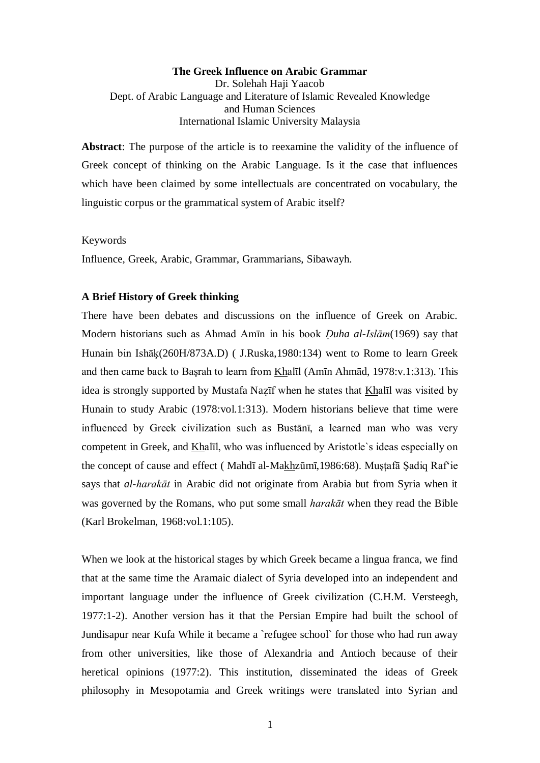# **The Greek Influence on Arabic Grammar** Dr. Solehah Haji Yaacob Dept. of Arabic Language and Literature of Islamic Revealed Knowledge and Human Sciences International Islamic University Malaysia

**Abstract**: The purpose of the article is to reexamine the validity of the influence of Greek concept of thinking on the Arabic Language. Is it the case that influences which have been claimed by some intellectuals are concentrated on vocabulary, the linguistic corpus or the grammatical system of Arabic itself?

Keywords

Influence, Greek, Arabic, Grammar, Grammarians, Sibawayh.

### **A Brief History of Greek thinking**

There have been debates and discussions on the influence of Greek on Arabic. Modern historians such as Ahmad Amīn in his book *Öuha al-Islām*(1969) say that Hunain bin Ishāķ(260H/873A.D) ( J.Ruska,1980:134) went to Rome to learn Greek and then came back to Başrah to learn from Khalīl (Amīn Ahmād, 1978:v.1:313). This idea is strongly supported by Mustafa Nazīf when he states that Khalīl was visited by Hunain to study Arabic (1978:vol.1:313). Modern historians believe that time were influenced by Greek civilization such as Bustānī, a learned man who was very competent in Greek, and Khalīl, who was influenced by Aristotle`s ideas especially on the concept of cause and effect ( Mahdī al-Makhzūmī,1986:68). Muşţafā Şadiq Raf"ie says that *al-harakāt* in Arabic did not originate from Arabia but from Syria when it was governed by the Romans, who put some small *harakāt* when they read the Bible (Karl Brokelman, 1968:vol.1:105).

When we look at the historical stages by which Greek became a lingua franca, we find that at the same time the Aramaic dialect of Syria developed into an independent and important language under the influence of Greek civilization (C.H.M. Versteegh, 1977:1-2). Another version has it that the Persian Empire had built the school of Jundisapur near Kufa While it became a `refugee school` for those who had run away from other universities, like those of Alexandria and Antioch because of their heretical opinions (1977:2). This institution, disseminated the ideas of Greek philosophy in Mesopotamia and Greek writings were translated into Syrian and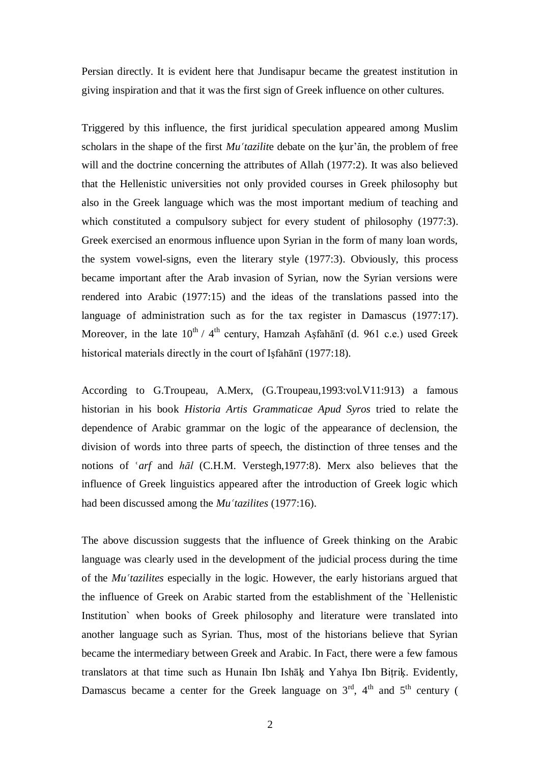Persian directly. It is evident here that Jundisapur became the greatest institution in giving inspiration and that it was the first sign of Greek influence on other cultures.

Triggered by this influence, the first juridical speculation appeared among Muslim scholars in the shape of the first *Mu<sup><i>k*</sup> tazilite debate on the kur'an, the problem of free will and the doctrine concerning the attributes of Allah (1977:2). It was also believed that the Hellenistic universities not only provided courses in Greek philosophy but also in the Greek language which was the most important medium of teaching and which constituted a compulsory subject for every student of philosophy (1977:3). Greek exercised an enormous influence upon Syrian in the form of many loan words, the system vowel-signs, even the literary style (1977:3). Obviously, this process became important after the Arab invasion of Syrian, now the Syrian versions were rendered into Arabic (1977:15) and the ideas of the translations passed into the language of administration such as for the tax register in Damascus (1977:17). Moreover, in the late  $10^{th}$  / 4<sup>th</sup> century, Hamzah Asfahānī (d. 961 c.e.) used Greek historical materials directly in the court of Işfahānī (1977:18).

According to G.Troupeau, A.Merx, (G.Troupeau,1993:vol.V11:913) a famous historian in his book *Historia Artis Grammaticae Apud Syros* tried to relate the dependence of Arabic grammar on the logic of the appearance of declension, the division of words into three parts of speech, the distinction of three tenses and the notions of 'arf and *hāl* (C.H.M. Verstegh, 1977:8). Merx also believes that the influence of Greek linguistics appeared after the introduction of Greek logic which had been discussed among the *Mu<sup><i>k*</sup> tazilites</sup> (1977:16).

The above discussion suggests that the influence of Greek thinking on the Arabic language was clearly used in the development of the judicial process during the time of the *Mu<sup><i>tazilites* especially in the logic. However, the early historians argued that</sup> the influence of Greek on Arabic started from the establishment of the `Hellenistic Institution` when books of Greek philosophy and literature were translated into another language such as Syrian. Thus, most of the historians believe that Syrian became the intermediary between Greek and Arabic. In Fact, there were a few famous translators at that time such as Hunain Ibn Ishāķ and Yahya Ibn Biţriķ. Evidently, Damascus became a center for the Greek language on  $3<sup>rd</sup>$ ,  $4<sup>th</sup>$  and  $5<sup>th</sup>$  century (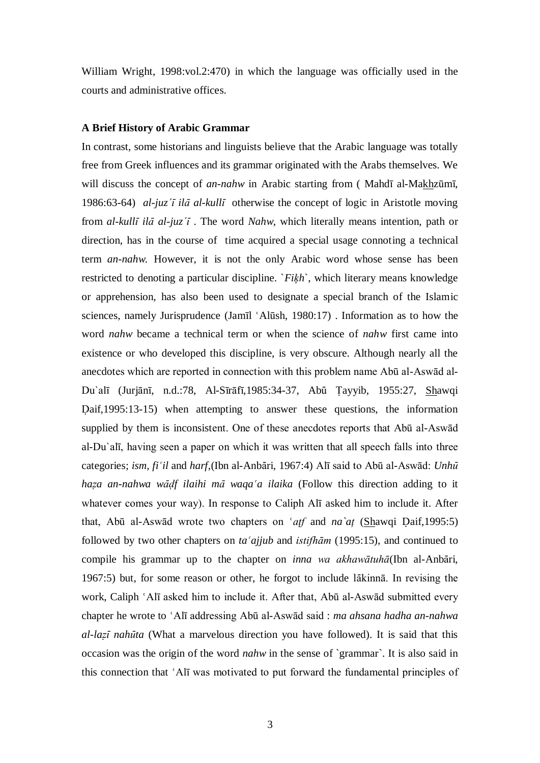William Wright, 1998:vol.2:470) in which the language was officially used in the courts and administrative offices.

# **A Brief History of Arabic Grammar**

In contrast, some historians and linguists believe that the Arabic language was totally free from Greek influences and its grammar originated with the Arabs themselves. We will discuss the concept of *an-nahw* in Arabic starting from ( Mahdī al-Makhzūmī, 1986:63-64) *al-juz´Ê ilÉ al-kullÊ* otherwise the concept of logic in Aristotle moving from *al-kullÊ ilÉ al-juz´Ê* . The word *Nahw*, which literally means intention, path or direction, has in the course of time acquired a special usage connoting a technical term *an-nahw.* However, it is not the only Arabic word whose sense has been restricted to denoting a particular discipline. `*Fiķh*`, which literary means knowledge or apprehension, has also been used to designate a special branch of the Islamic sciences, namely Jurisprudence (Jamīl 'Alūsh, 1980:17). Information as to how the word *nahw* became a technical term or when the science of *nahw* first came into existence or who developed this discipline, is very obscure. Although nearly all the anecdotes which are reported in connection with this problem name Abū al-Aswād al-Du`alī (Jurjānī, n.d.:78, Al-Sīrāfī,1985:34-37, Abū Țayyib, 1955:27, Shawqi Daif,1995:13-15) when attempting to answer these questions, the information supplied by them is inconsistent. One of these anecdotes reports that Abū al-Aswād al-Du`alī, having seen a paper on which it was written that all speech falls into three categories; *ism, fi'il* and *harf*,(Ibn al-Anbāri, 1967:4) Alī said to Abū al-Aswād: *Unhū haÐa an-nahwa wÉÌf ilaihi mÉ waqaÑa ilaika* (Follow this direction adding to it whatever comes your way). In response to Caliph Alī asked him to include it. After that, Abū al-Aswād wrote two chapters on '*atf* and *na* at (Shawqi Daif,1995:5) followed by two other chapters on *ta ajjub* and *istifham* (1995:15), and continued to compile his grammar up to the chapter on *inna wa akhawātuhā*(Ibn al-Anbāri, 1967:5) but, for some reason or other, he forgot to include lākinnā. In revising the work, Caliph 'Alī asked him to include it. After that, Abū al-Aswād submitted every chapter he wrote to 'Alī addressing Abū al-Aswād said : *ma ahsana hadha an-nahwa al-laÐÊ nahËta* (What a marvelous direction you have followed). It is said that this occasion was the origin of the word *nahw* in the sense of `grammar`. It is also said in this connection that 'Alī was motivated to put forward the fundamental principles of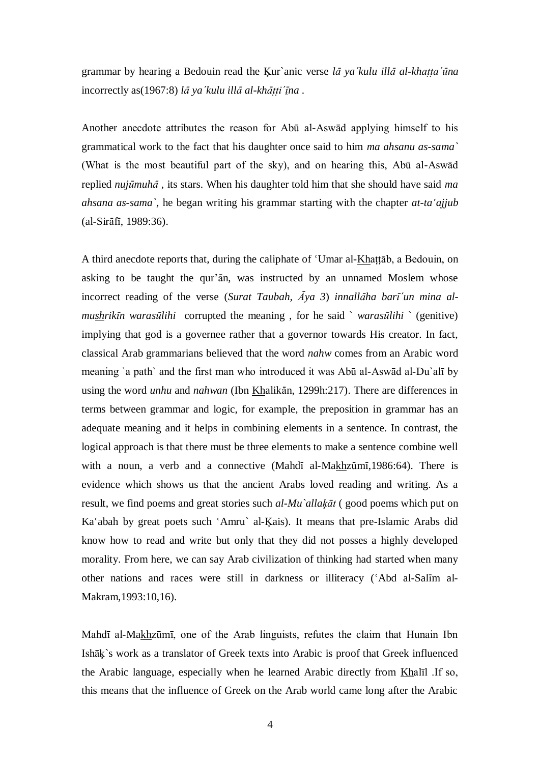grammar by hearing a Bedouin read the Ķur`anic verse *lÉ ya´kulu illÉ al-khaÏÏa´Ëna* incorrectly as(1967:8) *lÉ ya´kulu illÉ al-khÉÏÏi´Êna* .

Another anecdote attributes the reason for Abū al-Aswād applying himself to his grammatical work to the fact that his daughter once said to him *ma ahsanu as-sama`* (What is the most beautiful part of the sky), and on hearing this, Abū al-Aswād replied *nujūmuhā*, its stars. When his daughter told him that she should have said ma *ahsana as-sama*, he began writing his grammar starting with the chapter *at-ta ajjub*  $(al-Sirāfi, 1989:36).$ 

A third anecdote reports that, during the caliphate of 'Umar al-Khattab, a Bedouin, on asking to be taught the qur'an, was instructed by an unnamed Moslem whose incorrect reading of the verse (*Surat Taubah,*  $\overline{A}$ *ya 3*) *innallaha barī'un mina almushrikÊn warasËlihi* corrupted the meaning , for he said ` *warasËlihi* ` (genitive) implying that god is a governee rather that a governor towards His creator. In fact, classical Arab grammarians believed that the word *nahw* comes from an Arabic word meaning `a path` and the first man who introduced it was Abū al-Aswād al-Du`alī by using the word *unhu* and *nahwan* (Ibn Khalikān, 1299h:217). There are differences in terms between grammar and logic, for example, the preposition in grammar has an adequate meaning and it helps in combining elements in a sentence. In contrast, the logical approach is that there must be three elements to make a sentence combine well with a noun, a verb and a connective (Mahdī al-Makhzūmī, 1986:64). There is evidence which shows us that the ancient Arabs loved reading and writing. As a result, we find poems and great stories such *al-Mu`allaķāt* ( good poems which put on Ka'abah by great poets such 'Amru` al-Kais). It means that pre-Islamic Arabs did know how to read and write but only that they did not posses a highly developed morality. From here, we can say Arab civilization of thinking had started when many other nations and races were still in darkness or illiteracy ('Abd al-Salīm al-Makram,1993:10,16).

Mahdī al-Makhzūmī, one of the Arab linguists, refutes the claim that Hunain Ibn Ishāķ`s work as a translator of Greek texts into Arabic is proof that Greek influenced the Arabic language, especially when he learned Arabic directly from Khalīl .If so, this means that the influence of Greek on the Arab world came long after the Arabic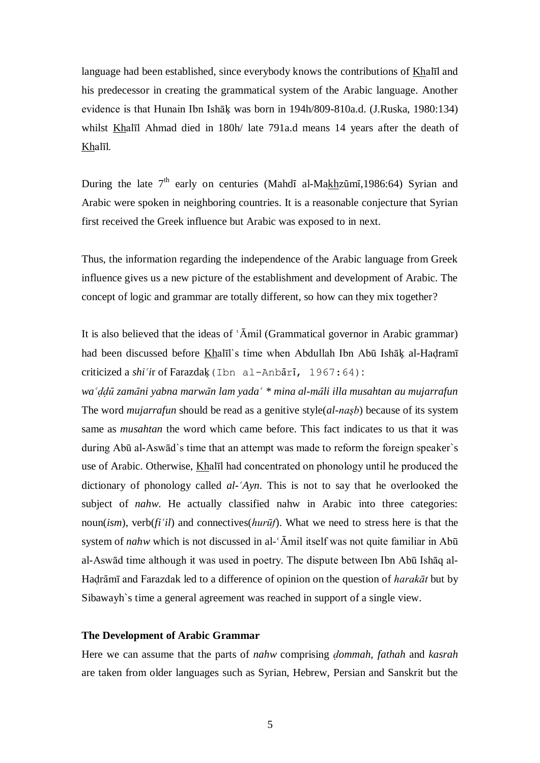language had been established, since everybody knows the contributions of Khalīl and his predecessor in creating the grammatical system of the Arabic language. Another evidence is that Hunain Ibn Ishāķ was born in 194h/809-810a.d. (J.Ruska, 1980:134) whilst Khalīl Ahmad died in 180h/ late 791a.d means 14 years after the death of Khalīl.

During the late  $7<sup>th</sup>$  early on centuries (Mahdī al-Makhzūmī, 1986:64) Syrian and Arabic were spoken in neighboring countries. It is a reasonable conjecture that Syrian first received the Greek influence but Arabic was exposed to in next.

Thus, the information regarding the independence of the Arabic language from Greek influence gives us a new picture of the establishment and development of Arabic. The concept of logic and grammar are totally different, so how can they mix together?

It is also believed that the ideas of  $\Delta$ mil (Grammatical governor in Arabic grammar) had been discussed before Khalīl`s time when Abdullah Ibn Abū Ishāķ al-Hadramī criticized a *shi'ir* of Farazdaķ (Ibn al-Anbārī, 1967:64):

*waÑÌÌË zamÉni yabna marwÉn lam yadaÑ \* mina al-mÉli illa musahtan au mujarrafun* The word *mujarrafun* should be read as a genitive style(*al-naşb*) because of its system same as *musahtan* the word which came before. This fact indicates to us that it was during Abū al-Aswād`s time that an attempt was made to reform the foreign speaker`s use of Arabic. Otherwise, Khalīl had concentrated on phonology until he produced the dictionary of phonology called *al-ÑAyn*. This is not to say that he overlooked the subject of *nahw*. He actually classified nahw in Arabic into three categories: noun(*ism*), verb( $f_i^{\dagger}i_l$ ) and connectives( $hur\bar{u}f$ ). What we need to stress here is that the system of *nahw* which is not discussed in al-'Āmil itself was not quite familiar in Abū al-Aswād time although it was used in poetry. The dispute between Ibn Abū Ishāq al-Hadrāmī and Farazdak led to a difference of opinion on the question of *harakāt* but by Sibawayh`s time a general agreement was reached in support of a single view.

### **The Development of Arabic Grammar**

Here we can assume that the parts of *nahw* comprising *dommah, fathah* and *kasrah* are taken from older languages such as Syrian, Hebrew, Persian and Sanskrit but the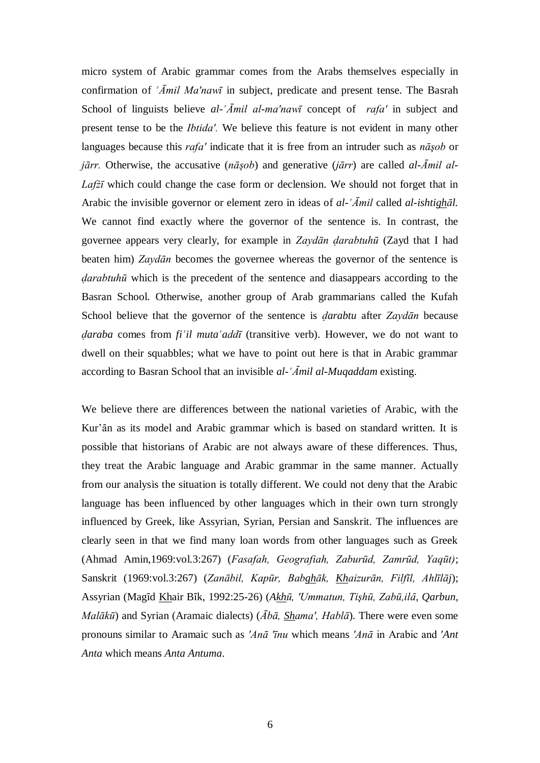micro system of Arabic grammar comes from the Arabs themselves especially in confirmation of *ÑĀmil Ma′nawī* in subject, predicate and present tense. The Basrah School of linguists believe *al-ÑĀmil al-ma′nawī* concept of *rafa′* in subject and present tense to be the *Ibtida′.* We believe this feature is not evident in many other languages because this *rafa′* indicate that it is free from an intruder such as *nāşob* or *jārr.* Otherwise, the accusative (*nāşob*) and generative (*jārr*) are called *al-Āmil al-Lafżī* which could change the case form or declension. We should not forget that in Arabic the invisible governor or element zero in ideas of *al-ÑĀmil* called *al-ishtighāl.* We cannot find exactly where the governor of the sentence is. In contrast, the governee appears very clearly, for example in *Zaydān Ìarabtuhū* (Zayd that I had beaten him) *Zaydān* becomes the governee whereas the governor of the sentence is *darabtuhū* which is the precedent of the sentence and diasappears according to the Basran School. Otherwise, another group of Arab grammarians called the Kufah School believe that the governor of the sentence is *darabtu* after *Zaydān* because *daraba* comes from *fi<sup>'</sup>il muta<sup><i>'*</sup></sup>addl<sup>†</sup> (transitive verb). However, we do not want to dwell on their squabbles; what we have to point out here is that in Arabic grammar according to Basran School that an invisible *al-'Āmil al-Muqaddam* existing.

We believe there are differences between the national varieties of Arabic, with the Kur'ān as its model and Arabic grammar which is based on standard written. It is possible that historians of Arabic are not always aware of these differences. Thus, they treat the Arabic language and Arabic grammar in the same manner. Actually from our analysis the situation is totally different. We could not deny that the Arabic language has been influenced by other languages which in their own turn strongly influenced by Greek, like Assyrian, Syrian, Persian and Sanskrit. The influences are clearly seen in that we find many loan words from other languages such as Greek (Ahmad Amin,1969:vol.3:267) (*Fasafah, Geografiah, Zaburūd, Zamrūd, Yaqūt)*; Sanskrit (1969:vol.3:267) (*Zanābil, Kapūr, Babghāk, Khaizurān, Filfīl, Ahlīlāj*); Assyrian (Magīd Khair Bīk, 1992:25-26) (Akhū, 'Ummatun, Tişhū, Zabū,ilā, Qarbun, *Malākū*) and Syrian (Aramaic dialects) (*Ābā, Shama′, Hablā*). There were even some pronouns similar to Aramaic such as *′Anā ′īnu* which means *′Anā* in Arabic and ′*Ant Anta* which means *Anta Antuma*.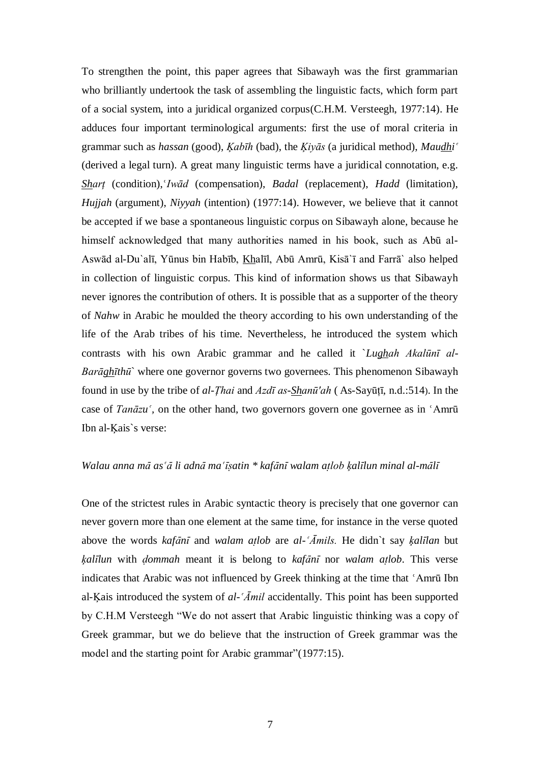To strengthen the point, this paper agrees that Sibawayh was the first grammarian who brilliantly undertook the task of assembling the linguistic facts, which form part of a social system, into a juridical organized corpus(C.H.M. Versteegh, 1977:14). He adduces four important terminological arguments: first the use of moral criteria in grammar such as *hassan* (good), *Kabīh* (bad), the *Kivās* (a juridical method), *Maudhi*<sup> $\alpha$ </sup> (derived a legal turn). A great many linguistic terms have a juridical connotation, e.g. *Shart* (condition), *Iwād* (compensation), *Badal* (replacement), *Hadd* (limitation), *Hujjah* (argument), *Niyyah* (intention) (1977:14). However, we believe that it cannot be accepted if we base a spontaneous linguistic corpus on Sibawayh alone, because he himself acknowledged that many authorities named in his book, such as Abū al-Aswād al-Du`alī, Yūnus bin Habīb, Khalīl, Abū Amrū, Kisā`ī and Farrā` also helped in collection of linguistic corpus. This kind of information shows us that Sibawayh never ignores the contribution of others. It is possible that as a supporter of the theory of *Nahw* in Arabic he moulded the theory according to his own understanding of the life of the Arab tribes of his time. Nevertheless, he introduced the system which contrasts with his own Arabic grammar and he called it `*Lughah Akalūnī al-Barāghīthū*` where one governor governs two governees. This phenomenon Sibawayh found in use by the tribe of *al-Ţhai* and *Azdī as-Shanū′ah* ( As-Sayūţī, n.d.:514). In the case of *Tanāzu*<sup> $\zeta$ </sup>, on the other hand, two governors govern one governee as in  $\zeta$ Amrū Ibn al-Ķais`s verse:

### Walau anna mā as'ā li adnā ma'īsatin \* kafānī walam atlob ķalīlun minal al-mālī

One of the strictest rules in Arabic syntactic theory is precisely that one governor can never govern more than one element at the same time, for instance in the verse quoted above the words *kafÉnÊ* and *walam aÏlob* are *al-ÑĀmils.* He didn`t say *ķalÊlan* but *ķalÊlun* with *Ìommah* meant it is belong to *kafÉnÊ* nor *walam aÏlob*. This verse indicates that Arabic was not influenced by Greek thinking at the time that 'Amrū Ibn al-Ķais introduced the system of *al-ÑĀmil* accidentally. This point has been supported by C.H.M Versteegh "We do not assert that Arabic linguistic thinking was a copy of Greek grammar, but we do believe that the instruction of Greek grammar was the model and the starting point for Arabic grammar"(1977:15).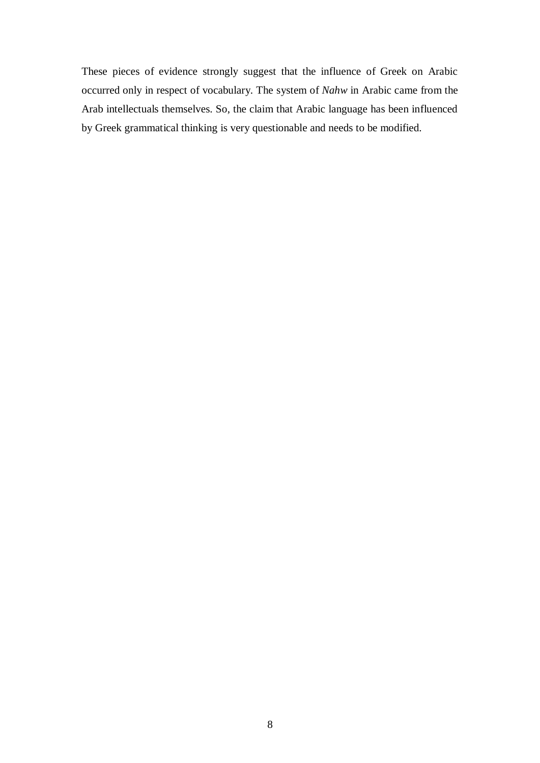These pieces of evidence strongly suggest that the influence of Greek on Arabic occurred only in respect of vocabulary. The system of *Nahw* in Arabic came from the Arab intellectuals themselves. So, the claim that Arabic language has been influenced by Greek grammatical thinking is very questionable and needs to be modified.